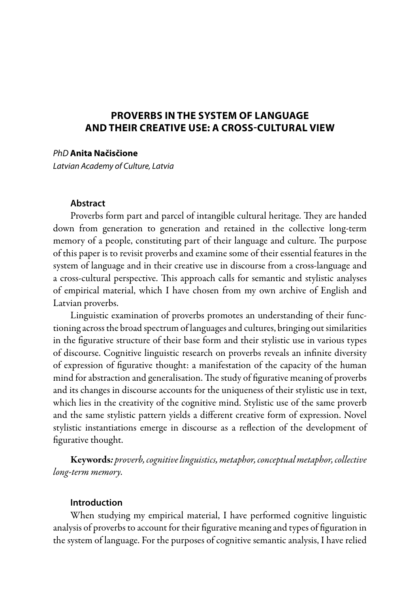## **PROVERBS IN THE SYSTEM OF LANGUAGE AND THEIR CREATIVE USE: A CROSS-CULTURAL VIEW**

*PhD* **Anita Načisčione** 

*Latvian Academy of Culture, Latvia*

### **Abstract**

Proverbs form part and parcel of intangible cultural heritage. They are handed down from generation to generation and retained in the collective long-term memory of a people, constituting part of their language and culture. The purpose of this paper is to revisit proverbs and examine some of their essential features in the system of language and in their creative use in discourse from a cross-language and a cross-cultural perspective. This approach calls for semantic and stylistic analyses of empirical material, which I have chosen from my own archive of English and Latvian proverbs.

Linguistic examination of proverbs promotes an understanding of their functioning across the broad spectrum of languages and cultures, bringing out similarities in the figurative structure of their base form and their stylistic use in various types of discourse. Cognitive linguistic research on proverbs reveals an infinite diversity of expression of figurative thought: a manifestation of the capacity of the human mind for abstraction and generalisation. The study of figurative meaning of proverbs and its changes in discourse accounts for the uniqueness of their stylistic use in text, which lies in the creativity of the cognitive mind. Stylistic use of the same proverb and the same stylistic pattern yields a different creative form of expression. Novel stylistic instantiations emerge in discourse as a reflection of the development of figurative thought.

Keywords*: proverb, cognitive linguistics, metaphor, conceptual metaphor, collective long-term memory.* 

### **Introduction**

When studying my empirical material, I have performed cognitive linguistic analysis of proverbs to account for their figurative meaning and types of figuration in the system of language. For the purposes of cognitive semantic analysis, I have relied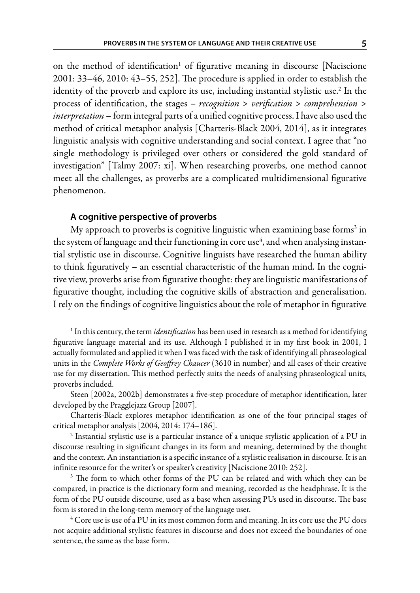on the method of identification<sup>1</sup> of figurative meaning in discourse [Naciscione 2001: 33–46, 2010: 43–55, 252]. The procedure is applied in order to establish the identity of the proverb and explore its use, including instantial stylistic use.<sup>2</sup> In the process of identification, the stages – *recognition* > *verification* > *comprehension* > *interpretation* – form integral parts of a unified cognitive process. I have also used the method of critical metaphor analysis [Charteris-Black 2004, 2014], as it integrates linguistic analysis with cognitive understanding and social context. I agree that "no single methodology is privileged over others or considered the gold standard of investigation" [Talmy 2007: xi]. When researching proverbs, one method cannot meet all the challenges, as proverbs are a complicated multidimensional figurative phenomenon.

### **A cognitive perspective of proverbs**

My approach to proverbs is cognitive linguistic when examining base forms $^3$  in the system of language and their functioning in core use $^{\rm 4}$ , and when analysing instantial stylistic use in discourse. Cognitive linguists have researched the human ability to think figuratively – an essential characteristic of the human mind. In the cognitive view, proverbs arise from figurative thought: they are linguistic manifestations of figurative thought, including the cognitive skills of abstraction and generalisation. I rely on the findings of cognitive linguistics about the role of metaphor in figurative

<sup>1</sup> In this century, the term *identification* has been used in research as a method for identifying figurative language material and its use. Although I published it in my first book in 2001, I actually formulated and applied it when I was faced with the task of identifying all phraseological units in the *Complete Works of Geoffrey Chaucer* (3610 in number) and all cases of their creative use for my dissertation. This method perfectly suits the needs of analysing phraseological units, proverbs included.

Steen [2002a, 2002b] demonstrates a five-step procedure of metaphor identification, later developed by the Pragglejazz Group [2007].

Charteris-Black explores metaphor identification as one of the four principal stages of critical metaphor analysis [2004, 2014: 174–186].

<sup>2</sup> Instantial stylistic use is a particular instance of a unique stylistic application of a PU in discourse resulting in significant changes in its form and meaning, determined by the thought and the context. An instantiation is a specific instance of a stylistic realisation in discourse. It is an infinite resource for the writer's or speaker's creativity [Naciscione 2010: 252].

<sup>&</sup>lt;sup>3</sup> The form to which other forms of the PU can be related and with which they can be compared, in practice is the dictionary form and meaning, recorded as the headphrase. It is the form of the PU outside discourse, used as a base when assessing PUs used in discourse. The base form is stored in the long-term memory of the language user.

<sup>4</sup> Core use is use of a PU in its most common form and meaning. In its core use the PU does not acquire additional stylistic features in discourse and does not exceed the boundaries of one sentence, the same as the base form.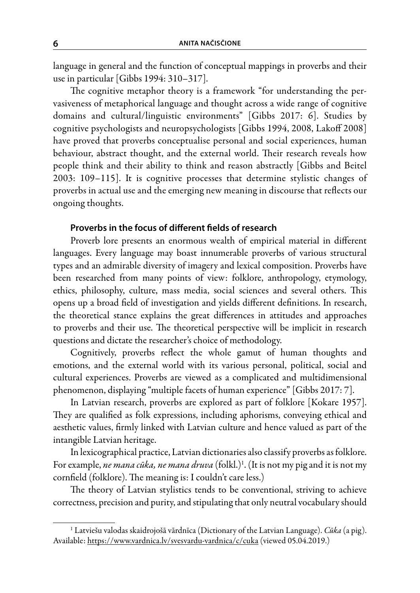language in general and the function of conceptual mappings in proverbs and their use in particular [Gibbs 1994: 310–317].

The cognitive metaphor theory is a framework "for understanding the pervasiveness of metaphorical language and thought across a wide range of cognitive domains and cultural/linguistic environments" [Gibbs 2017: 6]. Studies by cognitive psychologists and neuropsychologists [Gibbs 1994, 2008, Lakoff 2008] have proved that proverbs conceptualise personal and social experiences, human behaviour, abstract thought, and the external world. Their research reveals how people think and their ability to think and reason abstractly [Gibbs and Beitel 2003: 109–115]. It is cognitive processes that determine stylistic changes of proverbs in actual use and the emerging new meaning in discourse that reflects our ongoing thoughts.

## **Proverbs in the focus of different fields of research**

Proverb lore presents an enormous wealth of empirical material in different languages. Every language may boast innumerable proverbs of various structural types and an admirable diversity of imagery and lexical composition. Proverbs have been researched from many points of view: folklore, anthropology, etymology, ethics, philosophy, culture, mass media, social sciences and several others. This opens up a broad field of investigation and yields different definitions. In research, the theoretical stance explains the great differences in attitudes and approaches to proverbs and their use. The theoretical perspective will be implicit in research questions and dictate the researcher's choice of methodology.

Cognitively, proverbs reflect the whole gamut of human thoughts and emotions, and the external world with its various personal, political, social and cultural experiences. Proverbs are viewed as a complicated and multidimensional phenomenon, displaying "multiple facets of human experience" [Gibbs 2017: 7].

In Latvian research, proverbs are explored as part of folklore [Kokare 1957]. They are qualified as folk expressions, including aphorisms, conveying ethical and aesthetic values, firmly linked with Latvian culture and hence valued as part of the intangible Latvian heritage.

In lexicographical practice, Latvian dictionaries also classify proverbs as folklore. For example, *ne mana cūka, ne mana druva* (folkl.)<sup>1</sup>. (It is not my pig and it is not my cornfield (folklore). The meaning is: I couldn't care less.)

The theory of Latvian stylistics tends to be conventional, striving to achieve correctness, precision and purity, and stipulating that only neutral vocabulary should

<sup>1</sup> Latviešu valodas skaidrojošā vārdnīca (Dictionary of the Latvian Language). *Cūka* (a pig). Available: https://www.vardnica.lv/svesvardu-vardnica/c/cuka (viewed 05.04.2019.)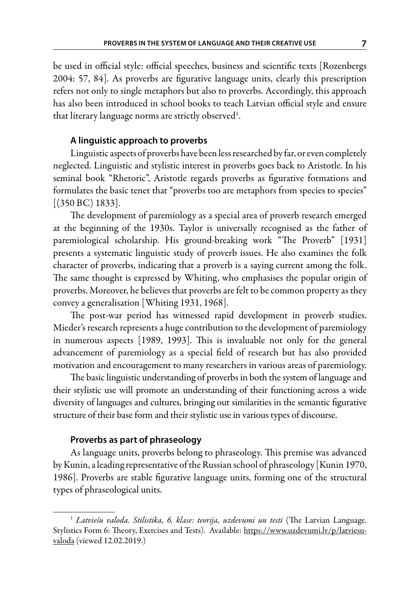be used in official style: official speeches, business and scientific texts [Rozenbergs 2004: 57, 84]. As proverbs are figurative language units, clearly this prescription refers not only to single metaphors but also to proverbs. Accordingly, this approach has also been introduced in school books to teach Latvian official style and ensure that literary language norms are strictly observed<sup>1</sup>.

### **A linguistic approach to proverbs**

Linguistic aspects of proverbs have been less researched by far, or even completely neglected. Linguistic and stylistic interest in proverbs goes back to Aristotle. In his seminal book "Rhetoric", Aristotle regards proverbs as figurative formations and formulates the basic tenet that "proverbs too are metaphors from species to species" [(350 BC) 1833].

The development of paremiology as a special area of proverb research emerged at the beginning of the 1930s. Taylor is universally recognised as the father of paremiological scholarship. His ground-breaking work "The Proverb" [1931] presents a systematic linguistic study of proverb issues. He also examines the folk character of proverbs, indicating that a proverb is a saying current among the folk. The same thought is expressed by Whiting, who emphasises the popular origin of proverbs. Moreover, he believes that proverbs are felt to be common property as they convey a generalisation [Whiting 1931, 1968].

The post-war period has witnessed rapid development in proverb studies. Mieder's research represents a huge contribution to the development of paremiology in numerous aspects [1989, 1993]. This is invaluable not only for the general advancement of paremiology as a special field of research but has also provided motivation and encouragement to many researchers in various areas of paremiology.

The basic linguistic understanding of proverbs in both the system of language and their stylistic use will promote an understanding of their functioning across a wide diversity of languages and cultures, bringing out similarities in the semantic figurative structure of their base form and their stylistic use in various types of discourse.

### **Proverbs as part of phraseology**

As language units, proverbs belong to phraseology. This premise was advanced by Kunin, a leading representative of the Russian school of phraseology [Kunin 1970, 1986]. Proverbs are stable figurative language units, forming one of the structural types of phraseological units.

<sup>1</sup> *Latviešu valoda. Stilistika, 6. klase: teorija, uzdevumi un testi* (The Latvian Language. Stylistics Form 6: Theory, Exercises and Tests). Available: https://www.uzdevumi.lv/p/latviesuvaloda (viewed 12.02.2019.)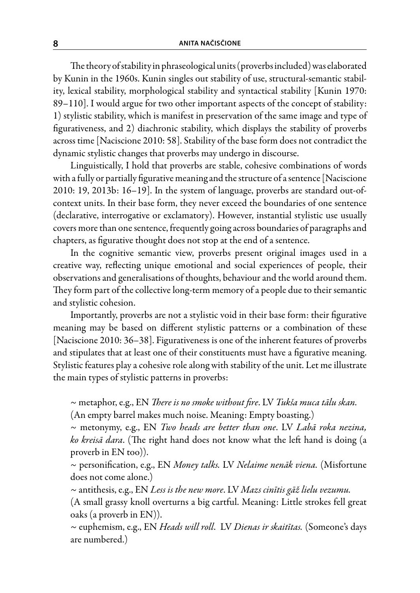The theory of stability in phraseological units (proverbs included) was elaborated by Kunin in the 1960s. Kunin singles out stability of use, structural-semantic stability, lexical stability, morphological stability and syntactical stability [Kunin 1970: 89–110]. I would argue for two other important aspects of the concept of stability: 1) stylistic stability, which is manifest in preservation of the same image and type of figurativeness, and 2) diachronic stability, which displays the stability of proverbs across time [Naciscione 2010: 58]. Stability of the base form does not contradict the dynamic stylistic changes that proverbs may undergo in discourse.

Linguistically, I hold that proverbs are stable, cohesive combinations of words with a fully or partially figurative meaning and the structure of a sentence [Naciscione 2010: 19, 2013b: 16–19]. In the system of language, proverbs are standard out-ofcontext units. In their base form, they never exceed the boundaries of one sentence (declarative, interrogative or exclamatory). However, instantial stylistic use usually covers more than one sentence, frequently going across boundaries of paragraphs and chapters, as figurative thought does not stop at the end of a sentence.

In the cognitive semantic view, proverbs present original images used in a creative way, reflecting unique emotional and social experiences of people, their observations and generalisations of thoughts, behaviour and the world around them. They form part of the collective long-term memory of a people due to their semantic and stylistic cohesion.

Importantly, proverbs are not a stylistic void in their base form: their figurative meaning may be based on different stylistic patterns or a combination of these [Naciscione 2010: 36–38]. Figurativeness is one of the inherent features of proverbs and stipulates that at least one of their constituents must have a figurative meaning. Stylistic features play a cohesive role along with stability of the unit. Let me illustrate the main types of stylistic patterns in proverbs:

~ metaphor, e.g., EN *There is no smoke without fire*. LV *Tukša muca tālu skan.* (An empty barrel makes much noise. Meaning: Empty boasting.)

~ metonymy, e.g., EN *Two heads are better than one*. LV *Labā roka nezina, ko kreisā dara*. (The right hand does not know what the left hand is doing (a proverb in EN too)).

~ personification, e.g., EN *Money talks.* LV *Nelaime nenāk viena.* (Misfortune does not come alone.)

*~* antithesis, e.g., EN *Less is the new more*. LV *Mazs cinītis gāž lielu vezumu.*

(A small grassy knoll overturns a big cartful. Meaning: Little strokes fell great oaks (a proverb in EN)).

*~* euphemism, e.g., EN *Heads will roll*. LV *Dienas ir skaitītas.* (Someone's days are numbered.)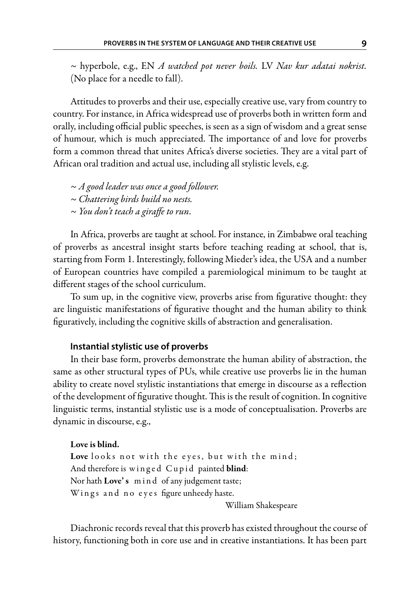*~* hyperbole, e.g., EN *A watched pot never boils.* LV *Nav kur adatai nokrist.*  (No place for a needle to fall).

Attitudes to proverbs and their use, especially creative use, vary from country to country. For instance, in Africa widespread use of proverbs both in written form and orally, including official public speeches, is seen as a sign of wisdom and a great sense of humour, which is much appreciated. The importance of and love for proverbs form a common thread that unites Africa's diverse societies. They are a vital part of African oral tradition and actual use, including all stylistic levels, e.g.

*~ A good leader was once a good follower. ~ Chattering birds build no nests. ~ You don't teach a giraffe to run*.

In Africa, proverbs are taught at school. For instance, in Zimbabwe oral teaching of proverbs as ancestral insight starts before teaching reading at school, that is, starting from Form 1. Interestingly, following Mieder's idea, the USA and a number of European countries have compiled a paremiological minimum to be taught at different stages of the school curriculum.

To sum up, in the cognitive view, proverbs arise from figurative thought: they are linguistic manifestations of figurative thought and the human ability to think figuratively, including the cognitive skills of abstraction and generalisation.

### **Instantial stylistic use of proverbs**

In their base form, proverbs demonstrate the human ability of abstraction, the same as other structural types of PUs, while creative use proverbs lie in the human ability to create novel stylistic instantiations that emerge in discourse as a reflection of the development of figurative thought. This is the result of cognition. In cognitive linguistic terms, instantial stylistic use is a mode of conceptualisation. Proverbs are dynamic in discourse, e.g.,

# Love is blind. Love looks not with the eyes, but with the mind; And therefore is winged Cupid painted blind: Nor hath Love's mind of any judgement taste; Wings and no eyes figure unheedy haste.

William Shakespeare

Diachronic records reveal that this proverb has existed throughout the course of history, functioning both in core use and in creative instantiations. It has been part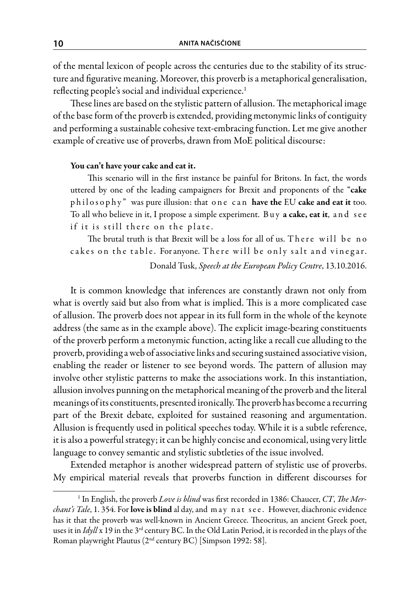of the mental lexicon of people across the centuries due to the stability of its structure and figurative meaning. Moreover, this proverb is a metaphorical generalisation, reflecting people's social and individual experience.<sup>1</sup>

These lines are based on the stylistic pattern of allusion. The metaphorical image of the base form of the proverb is extended, providing metonymic links of contiguity and performing a sustainable cohesive text-embracing function. Let me give another example of creative use of proverbs, drawn from MoE political discourse:

### You can't have your cake and eat it.

This scenario will in the first instance be painful for Britons. In fact, the words uttered by one of the leading campaigners for Brexit and proponents of the "cake philosophy" was pure illusion: that one can have the EU cake and eat it too. To all who believe in it, I propose a simple experiment. Buy a cake, eat it, and see if it is still there on the plate.

The brutal truth is that Brexit will be a loss for all of us. There will be no cakes on the table. For anyone. There will be only salt and vinegar.

Donald Tusk, *Speech at the European Policy Centre*, 13.10.2016.

It is common knowledge that inferences are constantly drawn not only from what is overtly said but also from what is implied. This is a more complicated case of allusion. The proverb does not appear in its full form in the whole of the keynote address (the same as in the example above). The explicit image-bearing constituents of the proverb perform a metonymic function, acting like a recall cue alluding to the proverb, providing a web of associative links and securing sustained associative vision, enabling the reader or listener to see beyond words. The pattern of allusion may involve other stylistic patterns to make the associations work. In this instantiation, allusion involves punning on the metaphorical meaning of the proverb and the literal meanings of its constituents, presented ironically. The proverb has become a recurring part of the Brexit debate, exploited for sustained reasoning and argumentation. Allusion is frequently used in political speeches today. While it is a subtle reference, it is also a powerful strategy; it can be highly concise and economical, using very little language to convey semantic and stylistic subtleties of the issue involved.

Extended metaphor is another widespread pattern of stylistic use of proverbs. My empirical material reveals that proverbs function in different discourses for

<sup>1</sup> In English, the proverb *Love is blind* was first recorded in 1386: Chaucer, *CT*, *The Merchant's Tale*, 1. 354. For love is blind al day, and m a y n a t s e e . However, diachronic evidence has it that the proverb was well-known in Ancient Greece. Theocritus, an ancient Greek poet, uses it in *Idyll* x 19 in the 3rd century BC. In the Old Latin Period, it is recorded in the plays of the Roman playwright Plautus (2nd century BC) [Simpson 1992: 58].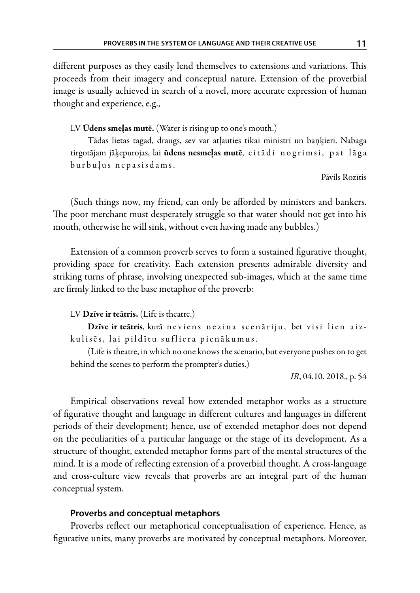different purposes as they easily lend themselves to extensions and variations. This proceeds from their imagery and conceptual nature. Extension of the proverbial image is usually achieved in search of a novel, more accurate expression of human thought and experience, e.g.,

### LV Ūdens smeļas mutē. (Water is rising up to one's mouth.)

Tādas lietas tagad, draugs, sev var atļauties tikai ministri un baņķieri. Nabaga tirgotājam jāķepurojas, lai **ūdens nesmeļas mutē**, citā di nogrimsi, pat lāga burbuļus nepasisdams.

Pāvils Rozītis

(Such things now, my friend, can only be afforded by ministers and bankers. The poor merchant must desperately struggle so that water should not get into his mouth, otherwise he will sink, without even having made any bubbles.)

Extension of a common proverb serves to form a sustained figurative thought, providing space for creativity. Each extension presents admirable diversity and striking turns of phrase, involving unexpected sub-images, which at the same time are firmly linked to the base metaphor of the proverb:

### LV Dzīve ir teātris. (Life is theatre.)

Dzīve ir teātris, kurā neviens nezina scenāriju, bet visi lien aizkulisēs, lai pildītu sufliera pienākumus.

(Life is theatre, in which no one knows the scenario, but everyone pushes on to get behind the scenes to perform the prompter's duties.)

*IR*, 04.10. 2018., p. 54

Empirical observations reveal how extended metaphor works as a structure of figurative thought and language in different cultures and languages in different periods of their development; hence, use of extended metaphor does not depend on the peculiarities of a particular language or the stage of its development. As a structure of thought, extended metaphor forms part of the mental structures of the mind. It is a mode of reflecting extension of a proverbial thought. A cross-language and cross-culture view reveals that proverbs are an integral part of the human conceptual system.

### **Proverbs and conceptual metaphors**

Proverbs reflect our metaphorical conceptualisation of experience. Hence, as figurative units, many proverbs are motivated by conceptual metaphors. Moreover,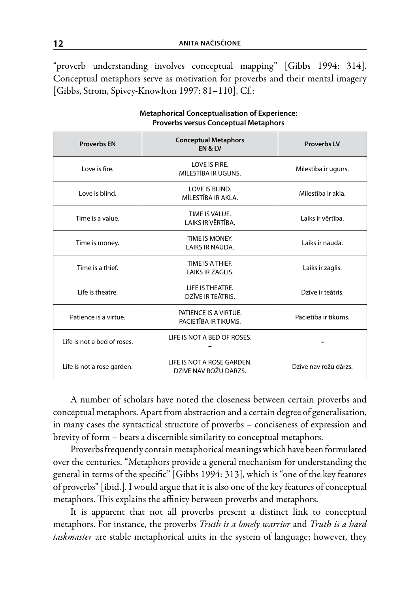"proverb understanding involves conceptual mapping" [Gibbs 1994: 314]. Conceptual metaphors serve as motivation for proverbs and their mental imagery [Gibbs, Strom, Spivey-Knowlton 1997: 81–110]. Cf.:

| <b>Proverbs EN</b>          | <b>Conceptual Metaphors</b><br><b>EN &amp; LV</b>   | <b>Proverbs LV</b>    |
|-----------------------------|-----------------------------------------------------|-----------------------|
| Love is fire.               | LOVE IS FIRE.<br>MĪLESTĪBA IR UGUNS.                | Mīlestība ir uguns.   |
| Love is blind.              | LOVE IS BLIND.<br>MĪLESTĪBA IR AKLA.                | Mīlestība ir akla.    |
| Time is a value.            | TIME IS VALUE.<br>LAIKS IR VĒRTĪBA.                 | Laiks ir vērtība.     |
| Time is money.              | TIME IS MONEY.<br>LAIKS IR NAUDA.                   | Laiks ir nauda.       |
| Time is a thief.            | TIME IS A THIEF.<br>LAIKS IR ZAGLIS.                | Laiks ir zaglis.      |
| Life is theatre.            | LIFE IS THEATRE.<br>DZĪVE IR TEĀTRIS.               | Dzīve ir teātris.     |
| Patience is a virtue.       | PATIENCE IS A VIRTUE.<br>PACIETĪBA IR TIKUMS.       | Pacietība ir tikums.  |
| Life is not a bed of roses. | LIFE IS NOT A BED OF ROSES.                         |                       |
| Life is not a rose garden.  | LIFE IS NOT A ROSE GARDEN.<br>DZĪVE NAV ROŽU DĀRZS. | Dzīve nav rožu dārzs. |

**Metaphorical Conceptualisation of Experience: Proverbs versus Conceptual Metaphors**

A number of scholars have noted the closeness between certain proverbs and conceptual metaphors. Apart from abstraction and a certain degree of generalisation, in many cases the syntactical structure of proverbs – conciseness of expression and brevity of form – bears a discernible similarity to conceptual metaphors.

Proverbs frequently contain metaphorical meanings which have been formulated over the centuries. "Metaphors provide a general mechanism for understanding the general in terms of the specific" [Gibbs 1994: 313], which is "one of the key features of proverbs" [ibid.]. I would argue that it is also one of the key features of conceptual metaphors. This explains the affinity between proverbs and metaphors.

It is apparent that not all proverbs present a distinct link to conceptual metaphors. For instance, the proverbs *Truth is a lonely warrior* and *Truth is a hard taskmaster* are stable metaphorical units in the system of language; however, they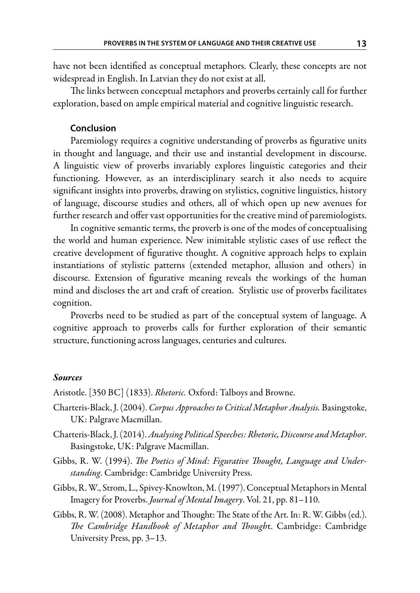have not been identified as conceptual metaphors. Clearly, these concepts are not widespread in English. In Latvian they do not exist at all.

The links between conceptual metaphors and proverbs certainly call for further exploration, based on ample empirical material and cognitive linguistic research.

### **Conclusion**

Paremiology requires a cognitive understanding of proverbs as figurative units in thought and language, and their use and instantial development in discourse. A linguistic view of proverbs invariably explores linguistic categories and their functioning. However, as an interdisciplinary search it also needs to acquire significant insights into proverbs, drawing on stylistics, cognitive linguistics, history of language, discourse studies and others, all of which open up new avenues for further research and offer vast opportunities for the creative mind of paremiologists.

In cognitive semantic terms, the proverb is one of the modes of conceptualising the world and human experience. New inimitable stylistic cases of use reflect the creative development of figurative thought. A cognitive approach helps to explain instantiations of stylistic patterns (extended metaphor, allusion and others) in discourse. Extension of figurative meaning reveals the workings of the human mind and discloses the art and craft of creation. Stylistic use of proverbs facilitates cognition.

Proverbs need to be studied as part of the conceptual system of language. A cognitive approach to proverbs calls for further exploration of their semantic structure, functioning across languages, centuries and cultures.

#### *Sources*

Aristotle. [350 BC] (1833). *Rhetoric.* Oxford: Talboys and Browne.

- Charteris-Black, J. (2004). *Corpus Approaches to Critical Metaphor Analysis.* Basingstoke, UK: Palgrave Macmillan.
- Charteris-Black, J. (2014). *Analysing Political Speeches: Rhetoric, Discourse and Metaphor*. Basingstoke, UK: Palgrave Macmillan.
- Gibbs, R. W. (1994). *The Poetics of Mind: Figurative Thought, Language and Understanding*. Cambridge: Cambridge University Press.
- Gibbs, R. W., Strom, L., Spivey-Knowlton, M. (1997). Conceptual Metaphors in Mental Imagery for Proverbs. *Journal of Mental Imagery*. Vol. 21, pp. 81–110.
- Gibbs, R. W. (2008). Metaphor and Thought: The State of the Art. In: R. W. Gibbs (ed.). *The Cambridge Handbook of Metaphor and Though*t. Cambridge: Cambridge University Press, pp. 3–13.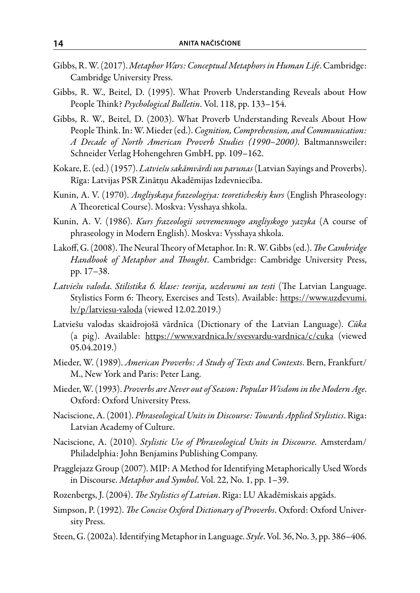- Gibbs, R. W. (2017). *Metaphor Wars: Conceptual Metaphors in Human Life*. Cambridge: Cambridge University Press.
- Gibbs, R. W., Beitel, D. (1995). What Proverb Understanding Reveals about How People Think? *Psychological Bulletin*. Vol. 118, pp. 133–154.
- Gibbs, R. W., Beitel, D. (2003). What Proverb Understanding Reveals About How People Think. In: W. Mieder (ed.). *Cognition, Comprehension, and Communication: A Decade of North American Proverb Studies (1990–2000)*. Baltmannsweiler: Schneider Verlag Hohengehren GmbH, pp. 109–162.
- Kokare, E. (ed.) (1957). *Latviešu sakāmvārdi un parunas* (Latvian Sayings and Proverbs). Rīga: Latvijas PSR Zinātņu Akadēmijas Izdevniecība.
- Kunin, A. V. (1970). *Angliyskaya frazeologiya: teoreticheskiy kurs* (English Phraseology: A Theoretical Course). Moskva: Vysshaya shkola.
- Kunin, A. V. (1986). *Kurs frazeologii sovremennogo angliyskogo yazyka* (A course of phraseology in Modern English). Moskva: Vysshaya shkola.
- Lakoff, G. (2008). The Neural Theory of Metaphor. In: R. W. Gibbs (ed.). *The Cambridge Handbook of Metaphor and Thought*. Cambridge: Cambridge University Press, pp. 17–38.
- *Latviešu valoda*. *Stilistika 6. klase: teorija, uzdevumi un testi* (The Latvian Language. Stylistics Form 6: Theory, Exercises and Tests). Available: https://www.uzdevumi. lv/p/latviesu-valoda (viewed 12.02.2019.)
- Latviešu valodas skaidrojošā vārdnīca (Dictionary of the Latvian Language). *Cūka*  (a pig). Available: https://www.vardnica.lv/svesvardu-vardnica/c/cuka (viewed 05.04.2019.)
- Mieder, W. (1989). *American Proverbs: A Study of Texts and Contexts*. Bern, Frankfurt/ M., New York and Paris: Peter Lang.
- Mieder, W. (1993). *Proverbs are Never out of Season: Popular Wisdom in the Modern Age*. Oxford: Oxford University Press.
- Naciscione, A. (2001). *Phraseological Units in Discourse: Towards Applied Stylistics*. Riga: Latvian Academy of Culture.
- Naciscione, A. (2010). *Stylistic Use of Phraseological Units in Discourse.* Amsterdam/ Philadelphia: John Benjamins Publishing Company.
- Pragglejazz Group (2007). MIP: A Method for Identifying Metaphorically Used Words in Discourse. *Metaphor and Symbol*. Vol. 22, No. 1, pp. 1–39.
- Rozenbergs, J. (2004). *The Stylistics of Latvian*. Rīga: LU Akadēmiskais apgāds.
- Simpson, P. (1992). *The Concise Oxford Dictionary of Proverbs*. Oxford: Oxford University Press.
- Steen, G. (2002a). Identifying Metaphor in Language. *Style*. Vol. 36, No. 3, pp. 386–406.